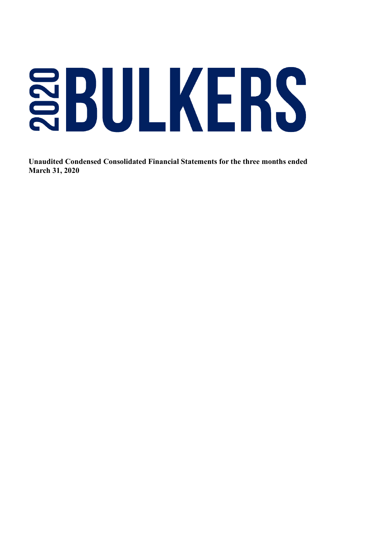# SBULKERS

 **Unaudited Condensed Consolidated Financial Statements for the three months ended March 31, 2020**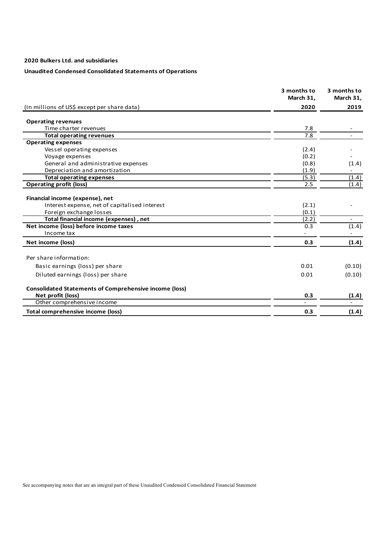# **Unaudited Condensed Consolidated Statements of Operations**

|                                                               | 3 months to<br>March 31, | 3 months to<br>March 31, |
|---------------------------------------------------------------|--------------------------|--------------------------|
| (In millions of US\$ except per share data)                   | 2020                     | 2019                     |
| <b>Operating revenues</b>                                     |                          |                          |
| Time charter revenues                                         | 7.8                      |                          |
| <b>Total operating revenues</b>                               | 7.8                      |                          |
| <b>Operating expenses</b>                                     |                          |                          |
| Vessel operating expenses                                     | (2.4)                    |                          |
| Voyage expenses                                               | (0.2)                    |                          |
| General and administrative expenses                           | (0.8)                    | (1.4)                    |
| Depreciation and amortization                                 | (1.9)                    |                          |
| <b>Total operating expenses</b>                               | (5.3)                    | (1.4)                    |
| <b>Operating profit (loss)</b>                                | 2.5                      | (1.4)                    |
| Financial income (expense), net                               |                          |                          |
| Interest expense, net of capitalised interest                 | (2.1)                    |                          |
| Foreign exchange losses                                       | (0.1)                    |                          |
| Total financial income (expenses), net                        | (2.2)                    |                          |
| Net income (loss) before income taxes                         | 0.3                      | (1.4)                    |
| Income tax                                                    |                          |                          |
| Net income (loss)                                             | 0.3                      | (1.4)                    |
| Per share information:                                        |                          |                          |
| Basic earnings (loss) per share                               | 0.01                     | (0.10)                   |
| Diluted earnings (loss) per share                             | 0.01                     | (0.10)                   |
| <b>Consolidated Statements of Comprehensive income (loss)</b> |                          |                          |
| Net profit (loss)                                             | 0.3                      | (1.4)                    |
| Other comprehensive income                                    |                          |                          |
| Total comprehensive income (loss)                             | 0.3                      | (1.4)                    |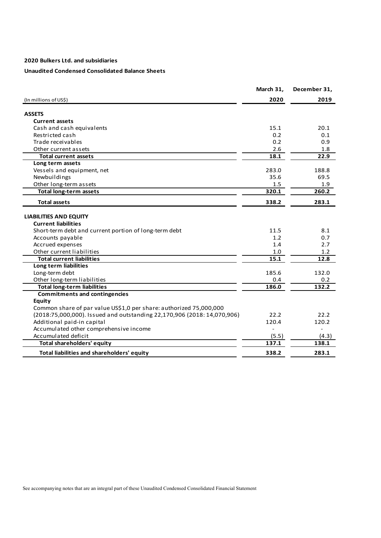# **Unaudited Condensed Consolidated Balance Sheets**

|                                                                         | March 31, | December 31, |
|-------------------------------------------------------------------------|-----------|--------------|
| (In millions of US\$)                                                   | 2020      | 2019         |
| <b>ASSETS</b>                                                           |           |              |
|                                                                         |           |              |
| <b>Current assets</b>                                                   | 15.1      | 20.1         |
| Cash and cash equivalents<br>Restricted cash                            | 0.2       | 0.1          |
| Trade receivables                                                       | 0.2       | 0.9          |
| Other current assets                                                    | 2.6       | 1.8          |
| <b>Total current assets</b>                                             | 18.1      | 22.9         |
|                                                                         |           |              |
| Long term assets                                                        | 283.0     | 188.8        |
| Vessels and equipment, net<br>Newbuildings                              | 35.6      | 69.5         |
|                                                                         | 1.5       | 1.9          |
| Other long-term assets<br><b>Total long-term assets</b>                 | 320.1     | 260.2        |
|                                                                         |           |              |
| <b>Total assets</b>                                                     | 338.2     | 283.1        |
| <b>LIABILITIES AND EQUITY</b>                                           |           |              |
| <b>Current liabilities</b>                                              |           |              |
| Short-term debt and current portion of long-term debt                   | 11.5      | 8.1          |
| Accounts payable                                                        | 1.2       | 0.7          |
| Accrued expenses                                                        | 1.4       | 2.7          |
| Other current liabilities                                               | 1.0       | 1.2          |
| <b>Total current liabilities</b>                                        | 15.1      | 12.8         |
| Long term liabilities                                                   |           |              |
| Long-term debt                                                          | 185.6     | 132.0        |
| Other long-term liabilities                                             | 0.4       | 0.2          |
| <b>Total long-term liabilities</b>                                      | 186.0     | 132.2        |
| <b>Commitments and contingencies</b>                                    |           |              |
| Equity                                                                  |           |              |
| Common share of par value US\$1,0 per share: authorized 75,000,000      |           |              |
| (2018:75,000,000). Issued and outstanding 22,170,906 (2018: 14,070,906) | 22.2      | 22.2         |
| Additional paid-in capital                                              | 120.4     | 120.2        |
| Accumulated other comprehensive income                                  |           |              |
| Accumulated deficit                                                     | (5.5)     | (4.3)        |
| Total shareholders' equity                                              | 137.1     | 138.1        |
| Total liabilities and shareholders' equity                              | 338.2     | 283.1        |
|                                                                         |           |              |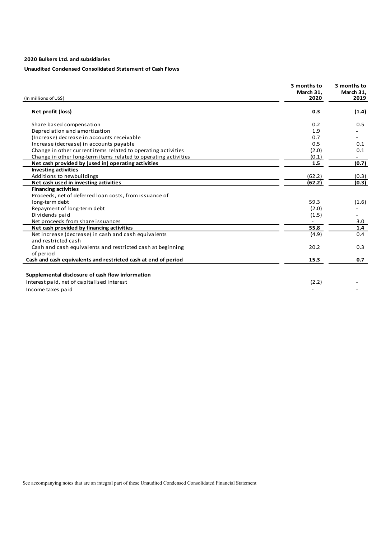# **Unaudited Condensed Consolidated Statement of Cash Flows**

| (In millions of US\$)                                                                          | 3 months to<br>March 31.<br>2020 | 3 months to<br>March 31,<br>2019 |
|------------------------------------------------------------------------------------------------|----------------------------------|----------------------------------|
| Net profit (loss)                                                                              | 0.3                              | (1.4)                            |
| Share based compensation                                                                       | 0.2                              | 0.5                              |
| Depreciation and amortization                                                                  | 1.9                              |                                  |
| (Increase) decrease in accounts receivable                                                     | 0.7                              |                                  |
| Increase (decrease) in accounts payable                                                        | 0.5                              | 0.1                              |
| Change in other current items related to operating activities                                  | (2.0)                            | 0.1                              |
| Change in other long-term items related to operating activities                                | (0.1)                            |                                  |
| Net cash provided by (used in) operating activities                                            | 1.5                              | (0.7)                            |
| <b>Investing activities</b>                                                                    |                                  |                                  |
| Additions to newbuildings                                                                      | (62.2)                           | (0.3)                            |
| Net cash used in investing activities                                                          | (62.2)                           | (0.3)                            |
| <b>Financing activities</b>                                                                    |                                  |                                  |
| Proceeds, net of deferred loan costs, from issuance of                                         |                                  |                                  |
| long-term debt                                                                                 | 59.3                             | (1.6)                            |
| Repayment of long-term debt                                                                    | (2.0)                            |                                  |
| Dividends paid                                                                                 | (1.5)                            |                                  |
| Net proceeds from share issuances                                                              |                                  | 3.0                              |
| Net cash provided by financing activities                                                      | 55.8                             | 1.4                              |
| Net increase (decrease) in cash and cash equivalents                                           | (4.9)                            | 0.4                              |
| and restricted cash                                                                            |                                  |                                  |
| Cash and cash equivalents and restricted cash at beginning                                     | 20.2                             | 0.3                              |
| of period                                                                                      |                                  |                                  |
| Cash and cash equivalents and restricted cash at end of period                                 | 15.3                             | 0.7                              |
| Supplemental disclosure of cash flow information<br>Interest paid, net of capitalised interest | (2.2)                            |                                  |
|                                                                                                |                                  |                                  |

Income taxes paid **-**  $\qquad -$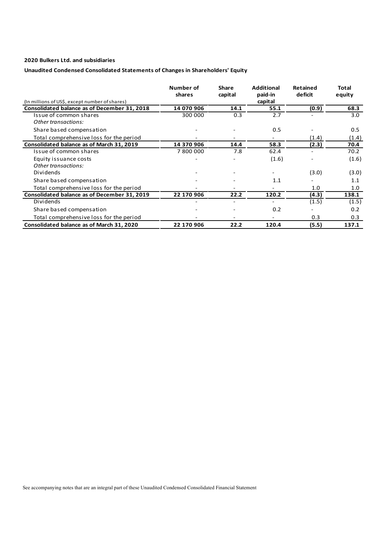# **Unaudited Condensed Consolidated Statements of Changes in Shareholders' Equity**

|                                                | Number of<br>shares | <b>Share</b><br>capital  | Additional<br>paid-in | Retained<br>deficit | Total<br>equity |
|------------------------------------------------|---------------------|--------------------------|-----------------------|---------------------|-----------------|
| (In millions of US\$, except number of shares) |                     |                          | capital               |                     |                 |
| Consolidated balance as of December 31, 2018   | 14 070 906          | 14.1                     | 55.1                  | (0.9)               | 68.3            |
| Issue of common shares                         | 300 000             | 0.3                      | 2.7                   |                     | 3.0             |
| Other transactions:                            |                     |                          |                       |                     |                 |
| Share based compensation                       |                     |                          | 0.5                   |                     | 0.5             |
| Total comprehensive loss for the period        |                     |                          |                       | (1.4)               | (1.4)           |
| Consolidated balance as of March 31, 2019      | 14 370 906          | 14.4                     | 58.3                  | (2.3)               | 70.4            |
| Issue of common shares                         | 7800000             | 7.8                      | 62.4                  |                     | 70.2            |
| Equity issuance costs                          |                     |                          | (1.6)                 |                     | (1.6)           |
| Other transactions:                            |                     |                          |                       |                     |                 |
| Dividends                                      |                     |                          |                       | (3.0)               | (3.0)           |
| Share based compensation                       |                     |                          | 1.1                   |                     | 1.1             |
| Total comprehensive loss for the period        |                     |                          |                       | 1.0                 | 1.0             |
| Consolidated balance as of December 31, 2019   | 22 170 906          | 22.2                     | 120.2                 | (4.3)               | 138.1           |
| Dividends                                      |                     | $\overline{\phantom{a}}$ |                       | (1.5)               | (1.5)           |
| Share based compensation                       |                     | $\overline{\phantom{a}}$ | 0.2                   |                     | 0.2             |
| Total comprehensive loss for the period        |                     |                          |                       | 0.3                 | 0.3             |
| Consolidated balance as of March 31, 2020      | 22 170 906          | 22.2                     | 120.4                 | (5.5)               | 137.1           |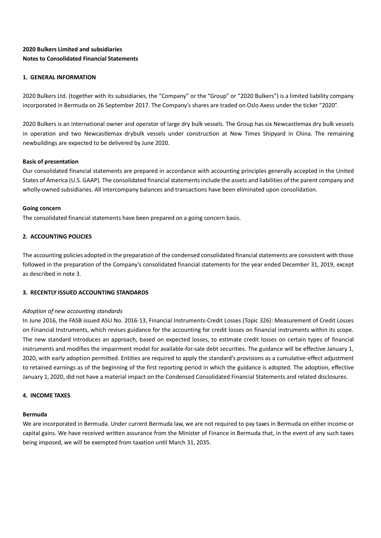# **2020 Bulkers Limited and subsidiaries Notes to Consolidated Financial Statements**

# **1. GENERAL INFORMATION**

2020 Bulkers Ltd. (together with its subsidiaries, the "Company" or the "Group" or "2020 Bulkers") is a limited liability company incorporated in Bermuda on 26 September 2017. The Company's shares are traded on Oslo Axess under the ticker "2020".

2020 Bulkers is an international owner and operator of large dry bulk vessels. The Group has six Newcastlemax dry bulk vessels in operation and two Newcastlemax drybulk vessels under construction at New Times Shipyard in China. The remaining newbuildings are expected to be delivered by June 2020.

# **Basis of presentation**

Our consolidated financial statements are prepared in accordance with accounting principles generally accepted in the United States of America (U.S. GAAP). The consolidated financial statements include the assets and liabilities of the parent company and wholly-owned subsidiaries. All intercompany balances and transactions have been eliminated upon consolidation.

### **Going concern**

The consolidated financial statements have been prepared on a going concern basis.

# **2. ACCOUNTING POLICIES**

The accounting policies adopted in the preparation of the condensed consolidated financial statements are consistent with those followed in the preparation of the Company's consolidated financial statements for the year ended December 31, 2019, except as described in note 3.

### **3. RECENTLY ISSUED ACCOUNTING STANDARDS**

### *Adoption of new accounting standards*

In June 2016, the FASB issued ASU No. 2016-13, Financial Instruments-Credit Losses (Topic 326): Measurement of Credit Losses on Financial Instruments, which revises guidance for the accounting for credit losses on financial instruments within its scope. The new standard introduces an approach, based on expected losses, to estimate credit losses on certain types of financial instruments and modifies the impairment model for available-for-sale debt securities. The guidance will be effective January 1, 2020, with early adoption permitted. Entities are required to apply the standard's provisions as a cumulative-effect adjustment to retained earnings as of the beginning of the first reporting period in which the guidance is adopted. The adoption, effective January 1, 2020, did not have a material impact on the Condensed Consolidated Financial Statements and related disclosures.

# **4. INCOME TAXES**

### **Bermuda**

We are incorporated in Bermuda. Under current Bermuda law, we are not required to pay taxes in Bermuda on either income or capital gains. We have received written assurance from the Minister of Finance in Bermuda that, in the event of any such taxes being imposed, we will be exempted from taxation until March 31, 2035.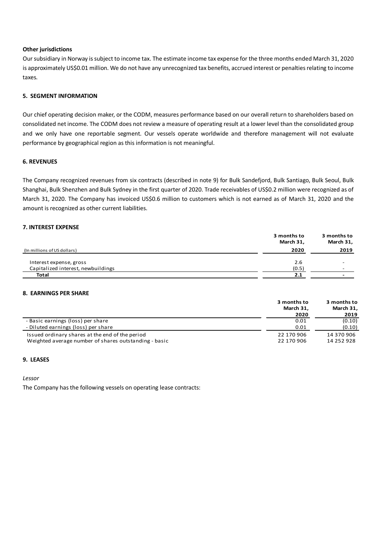### **Other jurisdictions**

Our subsidiary in Norway is subject to income tax. The estimate income tax expense for the three months ended March 31, 2020 is approximately US\$0.01 million. We do not have any unrecognized tax benefits, accrued interest or penalties relating to income taxes.

# **5. SEGMENT INFORMATION**

Our chief operating decision maker, or the CODM, measures performance based on our overall return to shareholders based on consolidated net income. The CODM does not review a measure of operating result at a lower level than the consolidated group and we only have one reportable segment. Our vessels operate worldwide and therefore management will not evaluate performance by geographical region as this information is not meaningful.

### **6. REVENUES**

The Company recognized revenues from six contracts (described in note 9) for Bulk Sandefjord, Bulk Santiago, Bulk Seoul, Bulk Shanghai, Bulk Shenzhen and Bulk Sydney in the first quarter of 2020. Trade receivables of US\$0.2 million were recognized as of March 31, 2020. The Company has invoiced US\$0.6 million to customers which is not earned as of March 31, 2020 and the amount is recognized as other current liabilities.

### **7. INTEREST EXPENSE**

|                                    | 3 months to<br>March 31, | 3 months to<br>March 31, |
|------------------------------------|--------------------------|--------------------------|
| (In millions of US dollars)        | 2020                     | 2019                     |
| Interest expense, gross            | 2.6                      |                          |
| Capitalized interest, newbuildings | (0.5)                    |                          |
| <b>Total</b>                       | 2.1                      |                          |

### **8. EARNINGS PER SHARE**

|                                                                                                          | 3 months to<br>March 31,<br>2020 | 3 months to<br>March 31,<br>2019 |
|----------------------------------------------------------------------------------------------------------|----------------------------------|----------------------------------|
| - Basic earnings (loss) per share                                                                        | 0.01                             | (0.10)                           |
| - Diluted earnings (loss) per share                                                                      | 0.01                             | (0.10)                           |
| Issued ordinary shares at the end of the period<br>Weighted average number of shares outstanding - basic | 22 170 906<br>22 170 906         | 14 370 906<br>14 252 928         |

# **9. LEASES**

*Lessor*

The Company has the following vessels on operating lease contracts: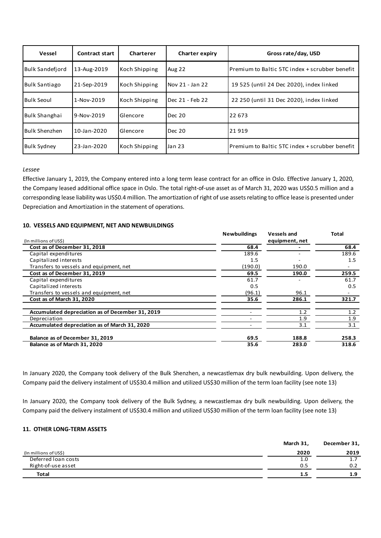| Vessel                 | <b>Contract start</b> | Charterer     | <b>Charter expiry</b> | Gross rate/day, USD                                    |
|------------------------|-----------------------|---------------|-----------------------|--------------------------------------------------------|
| Bulk Sandefiord        | 13-Aug-2019           | Koch Shipping | <b>Aug 22</b>         | <b>IPremium to Baltic 5TC index + scrubber benefit</b> |
| Bulk Santiago          | 21-Sep-2019           | Koch Shipping | Nov 21 - Jan 22       | 19 525 (until 24 Dec 2020), index linked               |
| Bulk Seoul             | 1-Nov-2019            | Koch Shipping | Dec 21 - Feb 22       | 22 250 (until 31 Dec 2020), index linked               |
| Bulk Shanghai          | 9-Nov-2019            | Glencore      | Dec 20                | 22 673                                                 |
| <b>I</b> Bulk Shenzhen | 10-Jan-2020           | Glencore      | Dec 20                | 21919                                                  |
| <b>Bulk Sydney</b>     | 23-Jan-2020           | Koch Shipping | <b>Jan 23</b>         | IPremium to Baltic 5TC index + scrubber benefit        |

### *Lessee*

Effective January 1, 2019, the Company entered into a long term lease contract for an office in Oslo. Effective January 1, 2020, the Company leased additional office space in Oslo. The total right-of-use asset as of March 31, 2020 was US\$0.5 million and a corresponding lease liability was US\$0.4 million. The amortization of right of use assets relating to office lease is presented under Depreciation and Amortization in the statement of operations.

### **10. VESSELS AND EQUIPMENT, NET AND NEWBUILDINGS**

|                                                  | <b>Newbuildings</b> | <b>Vessels and</b> | <b>Total</b> |
|--------------------------------------------------|---------------------|--------------------|--------------|
| (In millions of US\$)                            |                     | equipment, net     |              |
| Cost as of December 31, 2018                     | 68.4                |                    | 68.4         |
| Capital expenditures                             | 189.6               |                    | 189.6        |
| Capitalized interests                            | 1.5                 |                    | 1.5          |
| Transfers to vessels and equipment, net          | (190.0)             | 190.0              |              |
| Cost as of December 31, 2019                     | 69.5                | 190.0              | 259.5        |
| Capital expenditures                             | 61.7                |                    | 61.7         |
| Capitalized interests                            | 0.5                 |                    | 0.5          |
| Transfers to vessels and equipment, net          | (96.1)              | 96.1               |              |
| Cost as of March 31, 2020                        | 35.6                | 286.1              | 321.7        |
| Accumulated depreciation as of December 31, 2019 |                     | 1.2                | 1.2          |
| Depreciation                                     |                     | 1.9                | 1.9          |
| Accumulated depreciation as of March 31, 2020    |                     | 3.1                | 3.1          |
| Balance as of December 31, 2019                  | 69.5                | 188.8              | 258.3        |
| Balance as of March 31, 2020                     | 35.6                | 283.0              | 318.6        |

In January 2020, the Company took delivery of the Bulk Shenzhen, a newcastlemax dry bulk newbuilding. Upon delivery, the Company paid the delivery instalment of US\$30.4 million and utilized US\$30 million of the term loan facility (see note 13)

In January 2020, the Company took delivery of the Bulk Sydney, a newcastlemax dry bulk newbuilding. Upon delivery, the Company paid the delivery instalment of US\$30.4 million and utilized US\$30 million of the term loan facility (see note 13)

# **11. OTHER LONG-TERM ASSETS**

|                       | March 31, | December 31, |
|-----------------------|-----------|--------------|
| (In millions of US\$) | 2020      | 2019         |
| Deferred Ioan costs   | 1.0       | 1.7          |
| Right-of-use asset    | 0.5       | 0.2          |
| Total                 | 1.5       | 1.9          |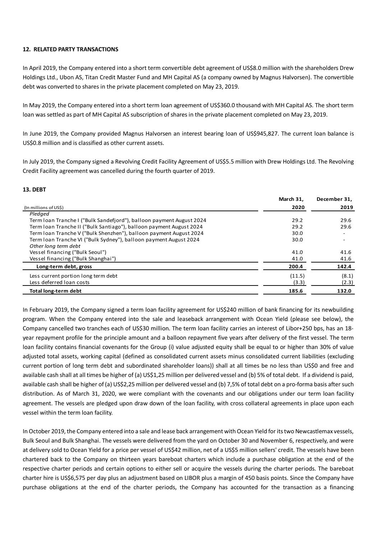### **12. RELATED PARTY TRANSACTIONS**

In April 2019, the Company entered into a short term convertible debt agreement of US\$8.0 million with the shareholders Drew Holdings Ltd., Ubon AS, Titan Credit Master Fund and MH Capital AS (a company owned by Magnus Halvorsen). The convertible debt was converted to shares in the private placement completed on May 23, 2019.

In May 2019, the Company entered into a short term loan agreement of US\$360.0 thousand with MH Capital AS. The short term loan was settled as part of MH Capital AS subscription of shares in the private placement completed on May 23, 2019.

In June 2019, the Company provided Magnus Halvorsen an interest bearing loan of US\$945,827. The current loan balance is US\$0.8 million and is classified as other current assets.

In July 2019, the Company signed a Revolving Credit Facility Agreement of US\$5.5 million with Drew Holdings Ltd. The Revolving Credit Facility agreement was cancelled during the fourth quarter of 2019.

### **13. DEBT**

|                                                                      | March 31. | December 31. |
|----------------------------------------------------------------------|-----------|--------------|
| (In millions of US\$)                                                | 2020      | 2019         |
| Pledged                                                              |           |              |
| Term Ioan Tranche I ("Bulk Sandefjord"), balloon payment August 2024 | 29.2      | 29.6         |
| Term Ioan Tranche II ("Bulk Santiago"), balloon payment August 2024  | 29.2      | 29.6         |
| Term Ioan Tranche V ("Bulk Shenzhen"), balloon payment August 2024   | 30.0      |              |
| Term Ioan Tranche VI ("Bulk Sydney"), balloon payment August 2024    | 30.0      |              |
| Other long term debt                                                 |           |              |
| Vessel financing ("Bulk Seoul")                                      | 41.0      | 41.6         |
| Vessel financing ("Bulk Shanghai")                                   | 41.0      | 41.6         |
| Long-term debt, gross                                                | 200.4     | 142.4        |
| Less current portion long term debt                                  | (11.5)    | (8.1)        |
| Less deferred loan costs                                             | (3.3)     | (2.3)        |
| Total long-term debt                                                 | 185.6     | 132.0        |

In February 2019, the Company signed a term loan facility agreement for US\$240 million of bank financing for its newbuilding program. When the Company entered into the sale and leaseback arrangement with Ocean Yield (please see below), the Company cancelled two tranches each of US\$30 million. The term loan facility carries an interest of Libor+250 bps, has an 18 year repayment profile for the principle amount and a balloon repayment five years after delivery of the first vessel. The term loan facility contains financial covenants for the Group (i) value adjusted equity shall be equal to or higher than 30% of value adjusted total assets, working capital (defined as consolidated current assets minus consolidated current liabilities (excluding current portion of long term debt and subordinated shareholder loans)) shall at all times be no less than US\$0 and free and available cash shall at all times be higher of (a) US\$1,25 million per delivered vessel and (b) 5% of total debt. If a dividend is paid, available cash shall be higher of (a) US\$2,25 million per delivered vessel and (b) 7,5% of total debt on a pro-forma basis after such distribution. As of March 31, 2020, we were compliant with the covenants and our obligations under our term loan facility agreement. The vessels are pledged upon draw down of the loan facility, with cross collateral agreements in place upon each vessel within the term loan facility.

In October 2019, the Company entered into a sale and lease back arrangement with Ocean Yield for its two Newcastlemax vessels, Bulk Seoul and Bulk Shanghai. The vessels were delivered from the yard on October 30 and November 6, respectively, and were at delivery sold to Ocean Yield for a price per vessel of US\$42 million, net of a US\$5 million sellers' credit. The vessels have been chartered back to the Company on thirteen years bareboat charters which include a purchase obligation at the end of the respective charter periods and certain options to either sell or acquire the vessels during the charter periods. The bareboat charter hire is US\$6,575 per day plus an adjustment based on LIBOR plus a margin of 450 basis points. Since the Company have purchase obligations at the end of the charter periods, the Company has accounted for the transaction as a financing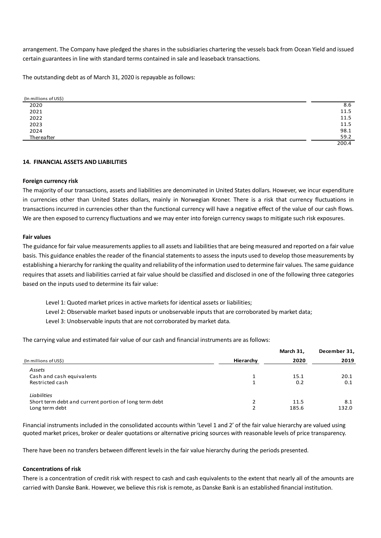arrangement. The Company have pledged the shares in the subsidiaries chartering the vessels back from Ocean Yield and issued certain guarantees in line with standard terms contained in sale and leaseback transactions.

The outstanding debt as of March 31, 2020 is repayable as follows:

| (In millions of US\$) |       |
|-----------------------|-------|
| 2020                  | 8.6   |
| 2021                  | 11.5  |
| 2022                  | 11.5  |
| 2023                  | 11.5  |
| 2024                  | 98.1  |
| Thereafter            | 59.2  |
|                       | 200.4 |

### **14. FINANCIAL ASSETS AND LIABILITIES**

### **Foreign currency risk**

The majority of our transactions, assets and liabilities are denominated in United States dollars. However, we incur expenditure in currencies other than United States dollars, mainly in Norwegian Kroner. There is a risk that currency fluctuations in transactions incurred in currencies other than the functional currency will have a negative effect of the value of our cash flows. We are then exposed to currency fluctuations and we may enter into foreign currency swaps to mitigate such risk exposures.

### **Fair values**

The guidance for fair value measurements applies to all assets and liabilities that are being measured and reported on a fair value basis. This guidance enables the reader of the financial statements to assess the inputs used to develop those measurements by establishing a hierarchy for ranking the quality and reliability of the information used to determine fair values. The same guidance requires that assets and liabilities carried at fair value should be classified and disclosed in one of the following three categories based on the inputs used to determine its fair value:

- Level 1: Quoted market prices in active markets for identical assets or liabilities;
- Level 2: Observable market based inputs or unobservable inputs that are corroborated by market data;
- Level 3: Unobservable inputs that are not corroborated by market data.

The carrying value and estimated fair value of our cash and financial instruments are as follows:

|                                                       |           | March 31, | December 31, |
|-------------------------------------------------------|-----------|-----------|--------------|
| (In millions of US\$)                                 | Hierarchy | 2020      | 2019         |
| Assets                                                |           |           |              |
| Cash and cash equivalents                             |           | 15.1      | 20.1         |
| Restricted cash                                       |           | 0.2       | 0.1          |
| <b>Liabilities</b>                                    |           |           |              |
| Short term debt and current portion of long term debt |           | 11.5      | 8.1          |
| Long term debt                                        |           | 185.6     | 132.0        |

Financial instruments included in the consolidated accounts within 'Level 1 and 2' of the fair value hierarchy are valued using quoted market prices, broker or dealer quotations or alternative pricing sources with reasonable levels of price transparency.

There have been no transfers between different levels in the fair value hierarchy during the periods presented.

### **Concentrations of risk**

There is a concentration of credit risk with respect to cash and cash equivalents to the extent that nearly all of the amounts are carried with Danske Bank. However, we believe this risk is remote, as Danske Bank is an established financial institution.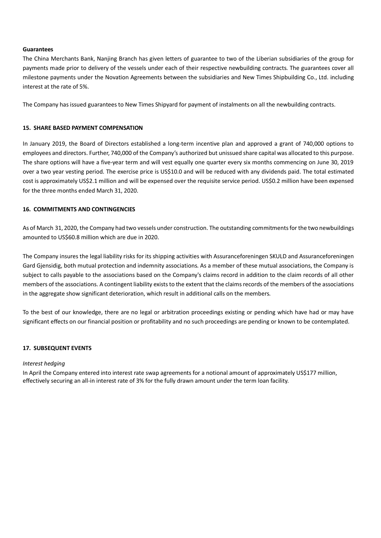### **Guarantees**

The China Merchants Bank, Nanjing Branch has given letters of guarantee to two of the Liberian subsidiaries of the group for payments made prior to delivery of the vessels under each of their respective newbuilding contracts. The guarantees cover all milestone payments under the Novation Agreements between the subsidiaries and New Times Shipbuilding Co., Ltd. including interest at the rate of 5%.

The Company has issued guarantees to New Times Shipyard for payment of instalments on all the newbuilding contracts.

# **15. SHARE BASED PAYMENT COMPENSATION**

In January 2019, the Board of Directors established a long-term incentive plan and approved a grant of 740,000 options to employees and directors. Further, 740,000 of the Company's authorized but unissued share capital was allocated to this purpose. The share options will have a five-year term and will vest equally one quarter every six months commencing on June 30, 2019 over a two year vesting period. The exercise price is US\$10.0 and will be reduced with any dividends paid. The total estimated cost is approximately US\$2.1 million and will be expensed over the requisite service period. US\$0.2 million have been expensed for the three months ended March 31, 2020.

# **16. COMMITMENTS AND CONTINGENCIES**

As of March 31, 2020, the Company had two vessels under construction. The outstanding commitments for the two newbuildings amounted to US\$60.8 million which are due in 2020.

The Company insures the legal liability risks for its shipping activities with Assuranceforeningen SKULD and Assuranceforeningen Gard Gjensidig, both mutual protection and indemnity associations. As a member of these mutual associations, the Company is subject to calls payable to the associations based on the Company's claims record in addition to the claim records of all other members of the associations. A contingent liability exists to the extent that the claims records of the members of the associations in the aggregate show significant deterioration, which result in additional calls on the members.

To the best of our knowledge, there are no legal or arbitration proceedings existing or pending which have had or may have significant effects on our financial position or profitability and no such proceedings are pending or known to be contemplated.

### **17. SUBSEQUENT EVENTS**

### *Interest hedging*

In April the Company entered into interest rate swap agreements for a notional amount of approximately US\$177 million, effectively securing an all-in interest rate of 3% for the fully drawn amount under the term loan facility.